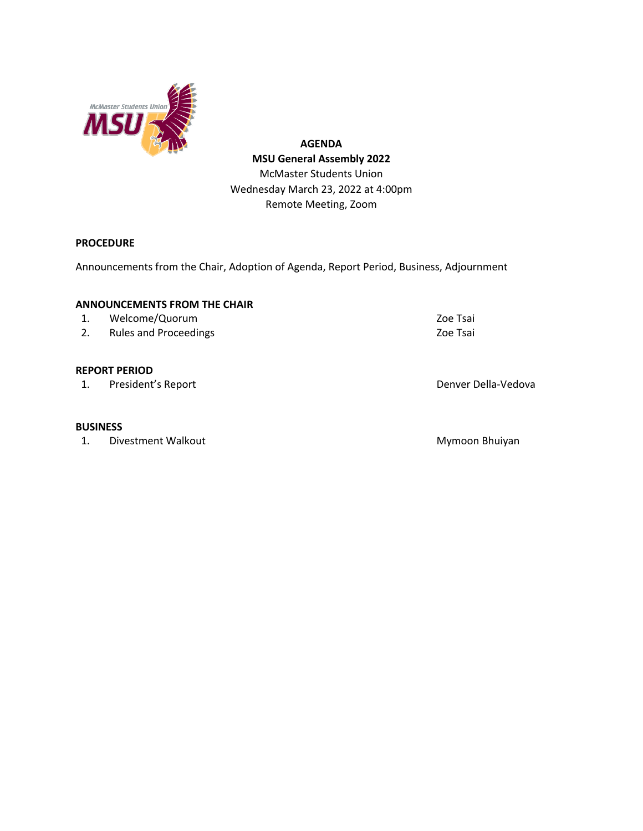

**AGENDA MSU General Assembly 2022** McMaster Students Union Wednesday March 23, 2022 at 4:00pm Remote Meeting, Zoom

# **PROCEDURE**

Announcements from the Chair, Adoption of Agenda, Report Period, Business, Adjournment

## **ANNOUNCEMENTS FROM THE CHAIR**

- 1. Welcome/Quorum 200 200 Tsai
- 2. Rules and Proceedings **Zoe Tsai**

## **REPORT PERIOD**

1. President's Report **Denver Della-Vedova** 

#### **BUSINESS**

1. Divestment Walkout **Mymoon Bhuiyan** Mymoon Bhuiyan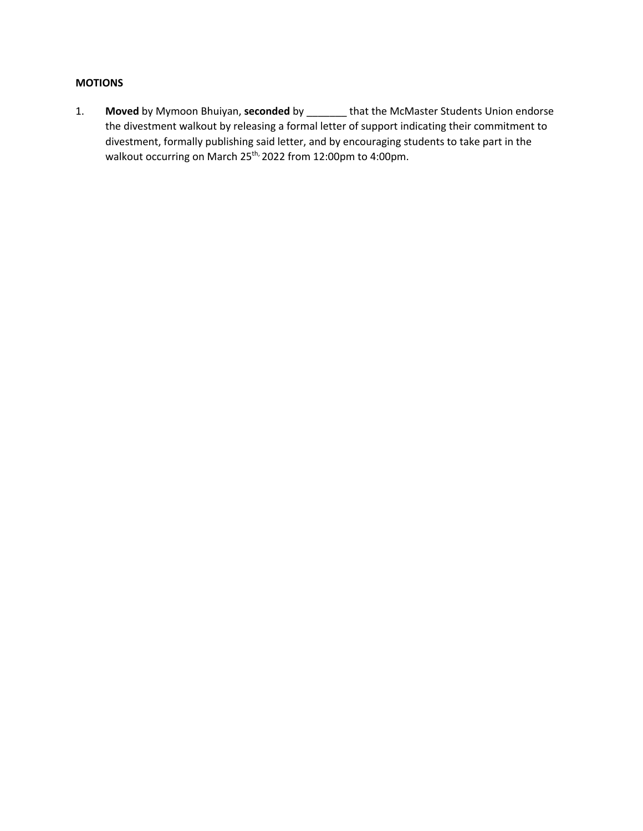# **MOTIONS**

1. **Moved** by Mymoon Bhuiyan, **seconded** by \_\_\_\_\_\_\_ that the McMaster Students Union endorse the divestment walkout by releasing a formal letter of support indicating their commitment to divestment, formally publishing said letter, and by encouraging students to take part in the walkout occurring on March 25<sup>th,</sup> 2022 from 12:00pm to 4:00pm.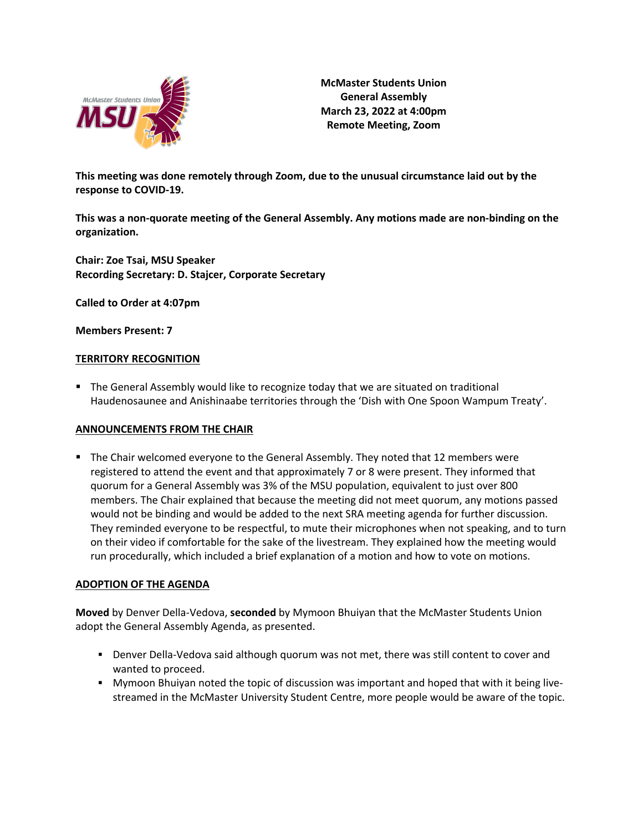

**McMaster Students Union General Assembly March 23, 2022 at 4:00pm Remote Meeting, Zoom**

**This meeting was done remotely through Zoom, due to the unusual circumstance laid out by the response to COVID-19.**

**This was a non-quorate meeting of the General Assembly. Any motions made are non-binding on the organization.**

**Chair: Zoe Tsai, MSU Speaker Recording Secretary: D. Stajcer, Corporate Secretary**

**Called to Order at 4:07pm**

**Members Present: 7**

## **TERRITORY RECOGNITION**

■ The General Assembly would like to recognize today that we are situated on traditional Haudenosaunee and Anishinaabe territories through the 'Dish with One Spoon Wampum Treaty'.

## **ANNOUNCEMENTS FROM THE CHAIR**

■ The Chair welcomed everyone to the General Assembly. They noted that 12 members were registered to attend the event and that approximately 7 or 8 were present. They informed that quorum for a General Assembly was 3% of the MSU population, equivalent to just over 800 members. The Chair explained that because the meeting did not meet quorum, any motions passed would not be binding and would be added to the next SRA meeting agenda for further discussion. They reminded everyone to be respectful, to mute their microphones when not speaking, and to turn on their video if comfortable for the sake of the livestream. They explained how the meeting would run procedurally, which included a brief explanation of a motion and how to vote on motions.

## **ADOPTION OF THE AGENDA**

**Moved** by Denver Della-Vedova, **seconded** by Mymoon Bhuiyan that the McMaster Students Union adopt the General Assembly Agenda, as presented.

- Denver Della-Vedova said although quorum was not met, there was still content to cover and wanted to proceed.
- **Mymoon Bhuiyan noted the topic of discussion was important and hoped that with it being live**streamed in the McMaster University Student Centre, more people would be aware of the topic.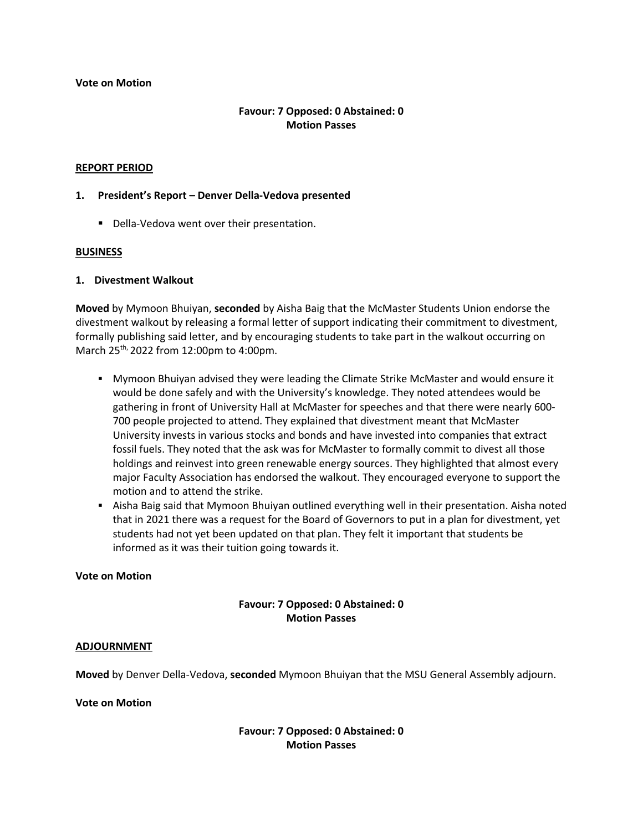#### **Vote on Motion**

# **Favour: 7 Opposed: 0 Abstained: 0 Motion Passes**

#### **REPORT PERIOD**

#### **1. President's Report – Denver Della-Vedova presented**

■ Della-Vedova went over their presentation.

#### **BUSINESS**

## **1. Divestment Walkout**

**Moved** by Mymoon Bhuiyan, **seconded** by Aisha Baig that the McMaster Students Union endorse the divestment walkout by releasing a formal letter of support indicating their commitment to divestment, formally publishing said letter, and by encouraging students to take part in the walkout occurring on March 25th, 2022 from 12:00pm to 4:00pm.

- § Mymoon Bhuiyan advised they were leading the Climate Strike McMaster and would ensure it would be done safely and with the University's knowledge. They noted attendees would be gathering in front of University Hall at McMaster for speeches and that there were nearly 600- 700 people projected to attend. They explained that divestment meant that McMaster University invests in various stocks and bonds and have invested into companies that extract fossil fuels. They noted that the ask was for McMaster to formally commit to divest all those holdings and reinvest into green renewable energy sources. They highlighted that almost every major Faculty Association has endorsed the walkout. They encouraged everyone to support the motion and to attend the strike.
- Aisha Baig said that Mymoon Bhuiyan outlined everything well in their presentation. Aisha noted that in 2021 there was a request for the Board of Governors to put in a plan for divestment, yet students had not yet been updated on that plan. They felt it important that students be informed as it was their tuition going towards it.

#### **Vote on Motion**

# **Favour: 7 Opposed: 0 Abstained: 0 Motion Passes**

## **ADJOURNMENT**

**Moved** by Denver Della-Vedova, **seconded** Mymoon Bhuiyan that the MSU General Assembly adjourn.

#### **Vote on Motion**

**Favour: 7 Opposed: 0 Abstained: 0 Motion Passes**